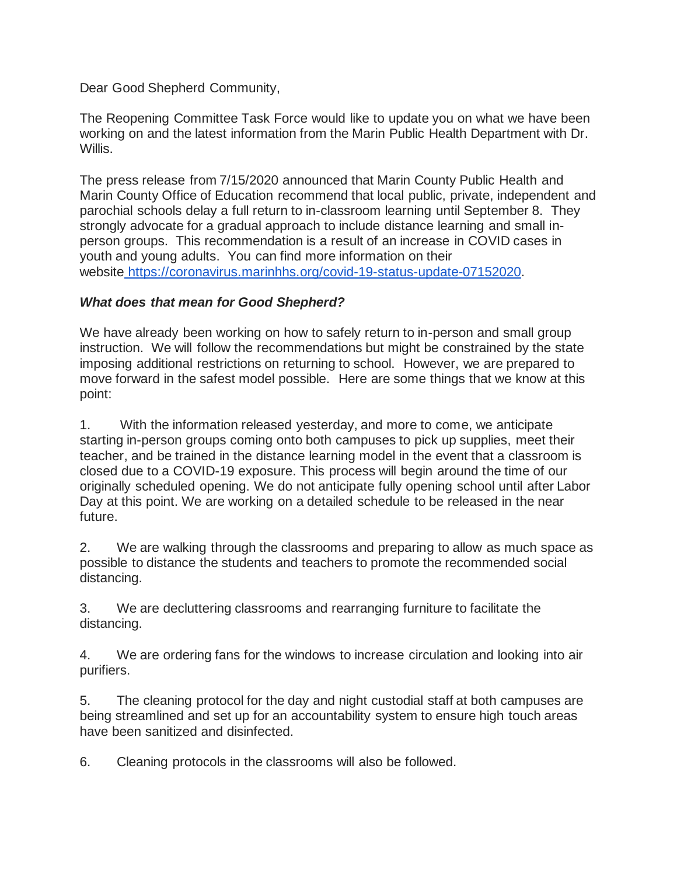## Dear Good Shepherd Community,

The Reopening Committee Task Force would like to update you on what we have been working on and the latest information from the Marin Public Health Department with Dr. Willis.

The press release from 7/15/2020 announced that Marin County Public Health and Marin County Office of Education recommend that local public, private, independent and parochial schools delay a full return to in-classroom learning until September 8. They strongly advocate for a gradual approach to include distance learning and small inperson groups. This recommendation is a result of an increase in COVID cases in youth and young adults. You can find more information on their website [https://coronavirus.marinhhs.org/covid-19-status-update-07152020.](https://coronavirus.marinhhs.org/covid-19-status-update-07152020)

## *What does that mean for Good Shepherd?*

We have already been working on how to safely return to in-person and small group instruction. We will follow the recommendations but might be constrained by the state imposing additional restrictions on returning to school. However, we are prepared to move forward in the safest model possible. Here are some things that we know at this point:

1. With the information released yesterday, and more to come, we anticipate starting in-person groups coming onto both campuses to pick up supplies, meet their teacher, and be trained in the distance learning model in the event that a classroom is closed due to a COVID-19 exposure. This process will begin around the time of our originally scheduled opening. We do not anticipate fully opening school until after Labor Day at this point. We are working on a detailed schedule to be released in the near future.

2. We are walking through the classrooms and preparing to allow as much space as possible to distance the students and teachers to promote the recommended social distancing.

3. We are decluttering classrooms and rearranging furniture to facilitate the distancing.

4. We are ordering fans for the windows to increase circulation and looking into air purifiers.

5. The cleaning protocol for the day and night custodial staff at both campuses are being streamlined and set up for an accountability system to ensure high touch areas have been sanitized and disinfected.

6. Cleaning protocols in the classrooms will also be followed.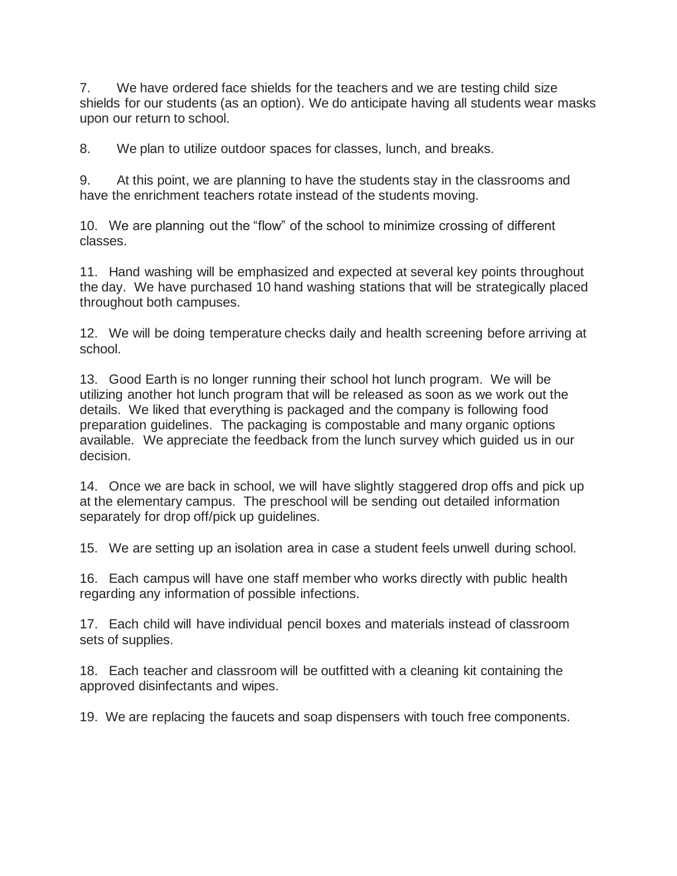7. We have ordered face shields for the teachers and we are testing child size shields for our students (as an option). We do anticipate having all students wear masks upon our return to school.

8. We plan to utilize outdoor spaces for classes, lunch, and breaks.

9. At this point, we are planning to have the students stay in the classrooms and have the enrichment teachers rotate instead of the students moving.

10. We are planning out the "flow" of the school to minimize crossing of different classes.

11. Hand washing will be emphasized and expected at several key points throughout the day. We have purchased 10 hand washing stations that will be strategically placed throughout both campuses.

12. We will be doing temperature checks daily and health screening before arriving at school.

13. Good Earth is no longer running their school hot lunch program. We will be utilizing another hot lunch program that will be released as soon as we work out the details. We liked that everything is packaged and the company is following food preparation guidelines. The packaging is compostable and many organic options available. We appreciate the feedback from the lunch survey which guided us in our decision.

14. Once we are back in school, we will have slightly staggered drop offs and pick up at the elementary campus. The preschool will be sending out detailed information separately for drop off/pick up guidelines.

15. We are setting up an isolation area in case a student feels unwell during school.

16. Each campus will have one staff member who works directly with public health regarding any information of possible infections.

17. Each child will have individual pencil boxes and materials instead of classroom sets of supplies.

18. Each teacher and classroom will be outfitted with a cleaning kit containing the approved disinfectants and wipes.

19. We are replacing the faucets and soap dispensers with touch free components.